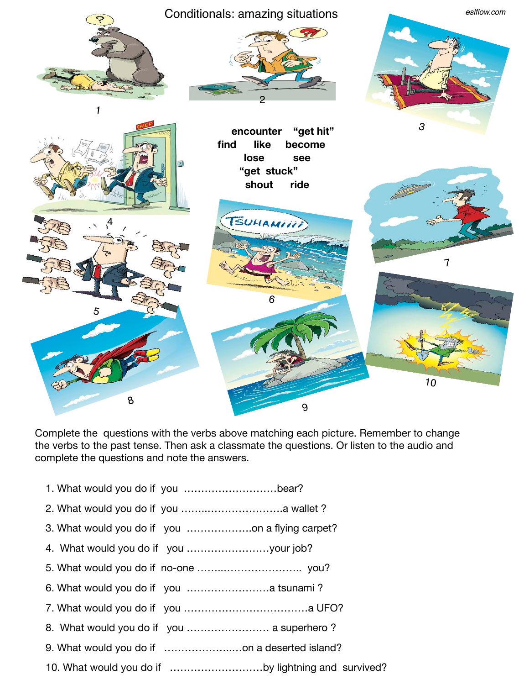

Complete the questions with the verbs above matching each picture. Remember to change the verbs to the past tense. Then ask a classmate the questions. Or listen to the audio and complete the questions and note the answers.

- 1. What would you do if you ………………………bear?
- 2. What would you do if you ……..………………….a wallet ?
- 3. What would you do if you ……………….on a flying carpet?
- 4. What would you do if you ……………………your job?
- 5. What would you do if no-one ……..………………….. you?
- 6. What would you do if you ……………………a tsunami ?
- 7. What would you do if you ………………………………a UFO?
- 8. What would you do if you …………………… a superhero ?
- 9. What would you do if ………………..…on a deserted island?
- 10. What would you do if ………………………by lightning and survived?